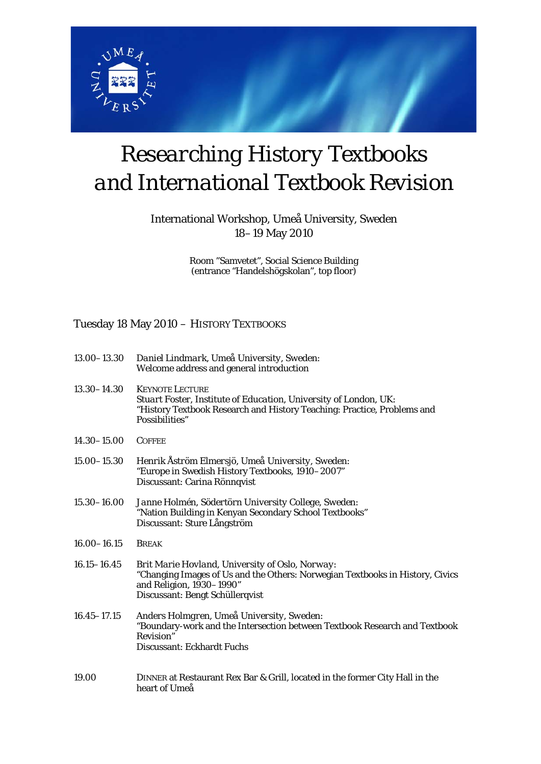

# *Researching History Textbooks and International Textbook Revision*

### International Workshop, Umeå University, Sweden 18–19 May 2010

Room "Samvetet", Social Science Building (entrance "Handelshögskolan", top floor)

#### Tuesday 18 May 2010 – HISTORY TEXTBOOKS

| $13.00 - 13.30$ | Daniel Lindmark, Umea University, Sweden: |
|-----------------|-------------------------------------------|
|                 | Welcome address and general introduction  |

- 13.30–14.30 KEYNOTE LECTURE *Stuart Foster, Institute of Education, University of London, UK*: "History Textbook Research and History Teaching: Practice, Problems and Possibilities"
- 14.30–15.00 COFFEE
- 15.00–15.30 *Henrik Åström Elmersjö, Umeå University, Sweden*: "Europe in Swedish History Textbooks, 1910–2007" Discussant: Carina Rönnqvist
- 15.30–16.00 *Janne Holmén, Södertörn University College, Sweden*: "Nation Building in Kenyan Secondary School Textbooks" Discussant: Sture Långström
- 16.00–16.15 BREAK
- 16.15–16.45 *Brit Marie Hovland, University of Oslo, Norway*: "Changing Images of Us and the Others: Norwegian Textbooks in History, Civics and Religion, 1930–1990" Discussant: Bengt Schüllerqvist
- 16.45–17.15 *Anders Holmgren, Umeå University, Sweden*: "Boundary-work and the Intersection between Textbook Research and Textbook Revision" Discussant: Eckhardt Fuchs
- 19.00 DINNER at Restaurant Rex Bar & Grill, located in the former City Hall in the heart of Umeå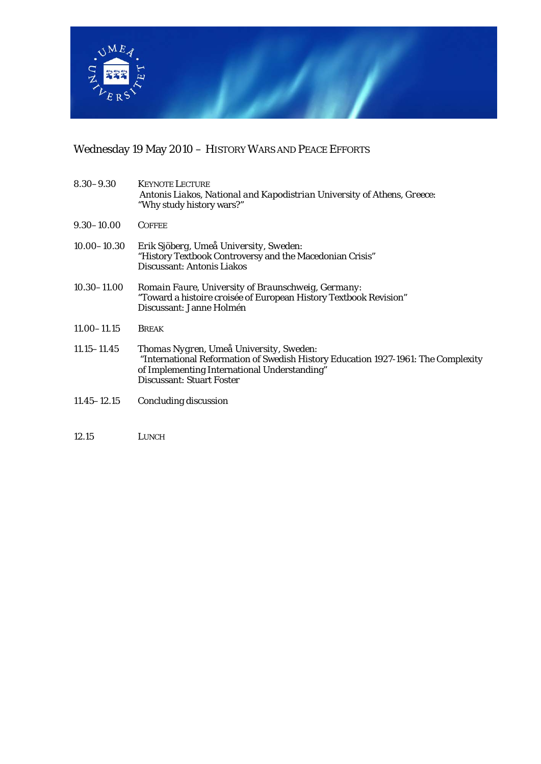

## Wednesday 19 May 2010 – HISTORY WARS AND PEACE EFFORTS

| $8.30 - 9.30$   | <b>KEYNOTE LECTURE</b><br>Antonis Liakos, National and Kapodistrian University of Athens, Greece:<br>"Why study history wars?"                                                                                   |
|-----------------|------------------------------------------------------------------------------------------------------------------------------------------------------------------------------------------------------------------|
| $9.30 - 10.00$  | <b>COFFEE</b>                                                                                                                                                                                                    |
| $10.00 - 10.30$ | Erik Sjöberg, Umeå University, Sweden:<br>"History Textbook Controversy and the Macedonian Crisis"<br>Discussant: Antonis Liakos                                                                                 |
| $10.30 - 11.00$ | Romain Faure, University of Braunschweig, Germany:<br>"Toward a <i>histoire croisée</i> of European History Textbook Revision"<br>Discussant: Janne Holmén                                                       |
| $11.00 - 11.15$ | <b>BREAK</b>                                                                                                                                                                                                     |
| $11.15 - 11.45$ | Thomas Nygren, Umea University, Sweden:<br>"International Reformation of Swedish History Education 1927-1961: The Complexity<br>of Implementing International Understanding"<br><b>Discussant: Stuart Foster</b> |
| $11.45 - 12.15$ | Concluding discussion                                                                                                                                                                                            |
|                 |                                                                                                                                                                                                                  |
| 12.15           | LUNCH                                                                                                                                                                                                            |